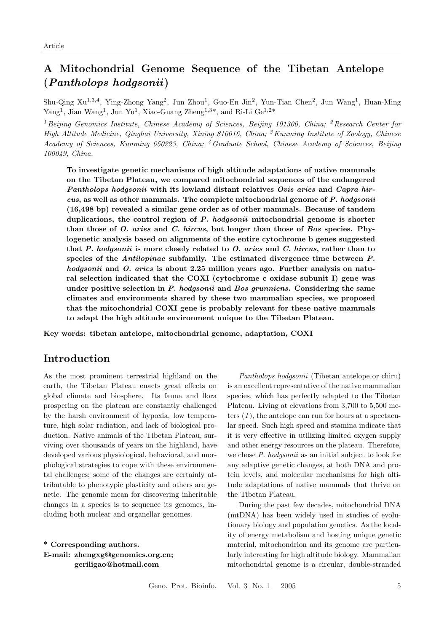# A Mitochondrial Genome Sequence of the Tibetan Antelope (Pantholops hodgsonii )

Shu-Qing Xu<sup>1,3,4</sup>, Ying-Zhong Yang<sup>2</sup>, Jun Zhou<sup>1</sup>, Guo-En Jin<sup>2</sup>, Yun-Tian Chen<sup>2</sup>, Jun Wang<sup>1</sup>, Huan-Ming Yang<sup>1</sup>, Jian Wang<sup>1</sup>, Jun Yu<sup>1</sup>, Xiao-Guang Zheng<sup>1,3\*</sup>, and Ri-Li Ge<sup>1,2\*</sup>

<sup>1</sup> Beijing Genomics Institute, Chinese Academy of Sciences, Beijing 101300, China; <sup>2</sup> Research Center for High Altitude Medicine, Qinghai University, Xining 810016, China;  ${}^{3}$ Kunming Institute of Zoology, Chinese Academy of Sciences, Kunming 650223, China; <sup>4</sup>Graduate School, Chinese Academy of Sciences, Beijing 100049, China.

To investigate genetic mechanisms of high altitude adaptations of native mammals on the Tibetan Plateau, we compared mitochondrial sequences of the endangered Pantholops hodgsonii with its lowland distant relatives Ovis aries and Capra hircus, as well as other mammals. The complete mitochondrial genome of P. hodgsonii (16,498 bp) revealed a similar gene order as of other mammals. Because of tandem duplications, the control region of P. hodgsonii mitochondrial genome is shorter than those of O. aries and C. hircus, but longer than those of Bos species. Phylogenetic analysis based on alignments of the entire cytochrome b genes suggested that P. hodgsonii is more closely related to  $O$ . aries and  $C$ . hircus, rather than to species of the Antilopinae subfamily. The estimated divergence time between P. hodgsonii and  $O$ . aries is about 2.25 million years ago. Further analysis on natural selection indicated that the COXI (cytochrome c oxidase subunit I) gene was under positive selection in P. hodgsonii and Bos grunniens. Considering the same climates and environments shared by these two mammalian species, we proposed that the mitochondrial COXI gene is probably relevant for these native mammals to adapt the high altitude environment unique to the Tibetan Plateau.

Key words: tibetan antelope, mitochondrial genome, adaptation, COXI

## Introduction

As the most prominent terrestrial highland on the earth, the Tibetan Plateau enacts great effects on global climate and biosphere. Its fauna and flora prospering on the plateau are constantly challenged by the harsh environment of hypoxia, low temperature, high solar radiation, and lack of biological production. Native animals of the Tibetan Plateau, surviving over thousands of years on the highland, have developed various physiological, behavioral, and morphological strategies to cope with these environmental challenges; some of the changes are certainly attributable to phenotypic plasticity and others are genetic. The genomic mean for discovering inheritable changes in a species is to sequence its genomes, including both nuclear and organellar genomes.

\* Corresponding authors. E-mail: zhengxg@genomics.org.cn; geriligao@hotmail.com

Pantholops hodgsonii (Tibetan antelope or chiru) is an excellent representative of the native mammalian species, which has perfectly adapted to the Tibetan Plateau. Living at elevations from 3,700 to 5,500 meters  $(1)$ , the antelope can run for hours at a spectacular speed. Such high speed and stamina indicate that it is very effective in utilizing limited oxygen supply and other energy resources on the plateau. Therefore, we chose P. hodgsonii as an initial subject to look for any adaptive genetic changes, at both DNA and protein levels, and molecular mechanisms for high altitude adaptations of native mammals that thrive on the Tibetan Plateau.

During the past few decades, mitochondrial DNA (mtDNA) has been widely used in studies of evolutionary biology and population genetics. As the locality of energy metabolism and hosting unique genetic material, mitochondrion and its genome are particularly interesting for high altitude biology. Mammalian mitochondrial genome is a circular, double-stranded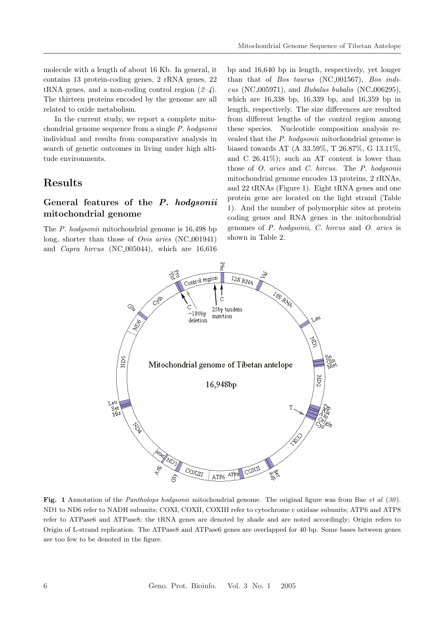molecule with a length of about 16 Kb. In general, it contains 13 protein-coding genes, 2 rRNA genes, 22 tRNA genes, and a non-coding control region  $(2-4)$ . The thirteen proteins encoded by the genome are all related to oxide metabolism.

In the current study, we report a complete mitochondrial genome sequence from a single P. hodgsonii individual and results from comparative analysis in search of genetic outcomes in living under high altitude environments.

### Results

### General features of the P. hodgsonii mitochondrial genome

The *P. hodgsonii* mitochondrial genome is 16,498 bp long, shorter than those of *Ovis aries* (NC<sub>-001941</sub>) and Capra hircus (NC 005044), which are 16,616

bp and 16,640 bp in length, respectively, yet longer than that of Bos taurus (NC<sub>-001567</sub>), Bos indi $cus (NC_005971), and Bubalus bubalis (NC_006295),$ which are 16,338 bp, 16,339 bp, and 16,359 bp in length, respectively. The size differences are resulted from different lengths of the control region among these species. Nucleotide composition analysis revealed that the P. hodgsonii mitochondrial genome is biased towards AT (A 33.59%, T 26.87%, G 13.11%, and C 26.41%); such an AT content is lower than those of O. aries and C. hircus. The P. hodgsonii mitochondrial genome encodes 13 proteins, 2 rRNAs, and 22 tRNAs (Figure 1). Eight tRNA genes and one protein gene are located on the light strand (Table 1). And the number of polymorphic sites at protein coding genes and RNA genes in the mitochondrial genomes of P. hodgsonii, C. hircus and O. aries is shown in Table 2.



Fig. 1 Annotation of the *Pantholops hodgsonii* mitochondrial genome. The original figure was from Bae et al  $(30)$ . ND1 to ND6 refer to NADH subunits; COXI, COXII, COXIII refer to cytochrome c oxidase subunits; ATP6 and ATP8 refer to ATPase6 and ATPase8; the tRNA genes are denoted by shade and are noted accordingly; Origin refers to Origin of L-strand replication. The ATPase8 and ATPase6 genes are overlapped for 40 bp. Some bases between genes are too few to be denoted in the figure.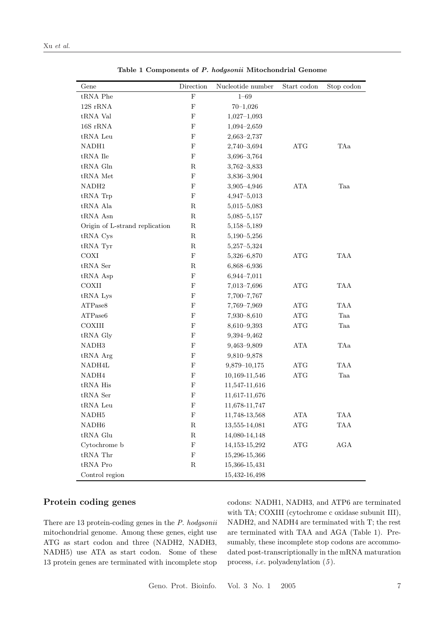| Gene                           | Direction                 | Nucleotide number | Start codon          | Stop codon |
|--------------------------------|---------------------------|-------------------|----------------------|------------|
| $tRNA$ Phe                     | ${\bf F}$                 | $1 - 69$          |                      |            |
| $12S$ rRNA                     | $\mathbf F$               | $70 - 1,026$      |                      |            |
| ${\rm tRNA}$ Val               | $\mathbf{F}$              | $1,027-1,093$     |                      |            |
| 16S rRNA                       | $\mathbf F$               | $1,094 - 2,659$   |                      |            |
| tRNA Leu                       | $\mathbf F$               | $2,663 - 2,737$   |                      |            |
| NADH1                          | $\mathbf F$               | 2,740-3,694       | <b>ATG</b>           | TAa        |
| ${\rm tRNA}$ Ile               | ${\bf F}$                 | $3,696 - 3,764$   |                      |            |
| $tRNA$ Gln                     | $\mathbf R$               | $3,762 - 3,833$   |                      |            |
| tRNA Met                       | ${\bf F}$                 | $3,836 - 3,904$   |                      |            |
| NADH <sub>2</sub>              | $\bold{F}$                | 3,905-4,946       | ATA                  | Taa        |
| tRNA Trp                       | $\mathbf F$               | $4,947 - 5,013$   |                      |            |
| tRNA Ala                       | $\mathbf R$               | $5,015 - 5,083$   |                      |            |
| tRNA Asn                       | ${\bf R}$                 | $5,085 - 5,157$   |                      |            |
| Origin of L-strand replication | ${\bf R}$                 | 5,158-5,189       |                      |            |
| tRNA Cys                       | $\mathbf R$               | $5,190 - 5,256$   |                      |            |
| tRNA Tyr                       | ${\bf R}$                 | $5,257 - 5,324$   |                      |            |
| COXI                           | $\mathbf F$               | 5,326-6,870       | ATG                  | TAA        |
| tRNA Ser                       | $\mathbf R$               | $6,868 - 6,936$   |                      |            |
| tRNA Asp                       | $\mathbf F$               | $6,944 - 7,011$   |                      |            |
| COXII                          | $\mathbf F$               | 7,013-7,696       | ATG                  | <b>TAA</b> |
| tRNA Lys                       | $\mathbf F$               | 7,700-7,767       |                      |            |
| ATPase8                        | $\mathbf F$               | 7,769-7,969       | ATG                  | <b>TAA</b> |
| ATPase6                        | $\mathbf{F}$              | 7,930-8,610       | $\operatorname{ATG}$ | Taa        |
| COXIII                         | $\mathbf F$               | 8,610-9,393       | ATG                  | Taa        |
| tRNA Gly                       | $\mathbf F$               | 9,394-9,462       |                      |            |
| NADH3                          | $\mathbf F$               | $9,463 - 9,809$   | ATA                  | TAa        |
| tRNA Arg                       | $\mathbf F$               | 9,810-9,878       |                      |            |
| NADH4L                         | $\mathbf F$               | $9,879 - 10,175$  | ATG                  | <b>TAA</b> |
| NADH <sub>4</sub>              | $\mathbf F$               | 10,169-11,546     | ATG                  | Taa        |
| ${\rm tRNA}$ His               | $\mathbf F$               | 11,547-11,616     |                      |            |
| tRNA Ser                       | $\boldsymbol{\mathrm{F}}$ | 11,617-11,676     |                      |            |
| tRNA Leu                       | $\mathbf F$               | 11,678-11,747     |                      |            |
| $\rm NADH5$                    | ${\bf F}$                 | 11,748-13,568     | $\rm ATA$            | TAA        |
| NADH6                          | ${\bf R}$                 | 13,555-14,081     | ATG                  | TAA        |
| ${\rm tRNA}$ Glu               | ${\bf R}$                 | 14,080-14,148     |                      |            |
| Cytochrome b                   | ${\bf F}$                 | 14, 153-15, 292   | $\operatorname{ATG}$ | AGA        |
| ${\rm tRNA\ Thr}$              | ${\bf F}$                 | 15,296-15,366     |                      |            |
| $tRNA$ Pro                     | ${\bf R}$                 | 15,366-15,431     |                      |            |
| Control region                 |                           | 15,432-16,498     |                      |            |

Table 1 Components of P. hodgsonii Mitochondrial Genome

### Protein coding genes

There are 13 protein-coding genes in the P. hodgsonii mitochondrial genome. Among these genes, eight use ATG as start codon and three (NADH2, NADH3, NADH5) use ATA as start codon. Some of these 13 protein genes are terminated with incomplete stop codons: NADH1, NADH3, and ATP6 are terminated with TA; COXIII (cytochrome c oxidase subunit III), NADH2, and NADH4 are terminated with T; the rest are terminated with TAA and AGA (Table 1). Presumably, these incomplete stop codons are accommodated post-transcriptionally in the mRNA maturation process, *i.e.* polyadenylation  $(5)$ .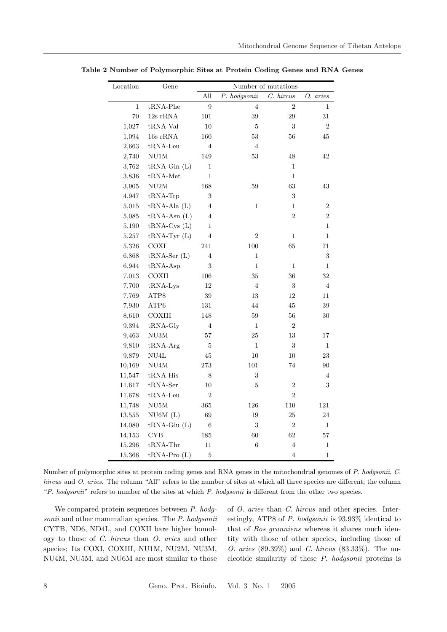| Location     | Gene                    | Number of mutations |                |                |                |  |
|--------------|-------------------------|---------------------|----------------|----------------|----------------|--|
|              |                         | All                 | P. hodgsonii   | C. hircus      | O. aries       |  |
| $\mathbf{1}$ | $tRNA-Phe$              | 9                   | $\overline{4}$ | $\overline{2}$ | 1              |  |
| 70           | 12s rRNA                | 101                 | 39             | 29             | 31             |  |
| 1,027        | ${\rm tRNA\text{-}Val}$ | $10\,$              | 5              | 3              | $\overline{2}$ |  |
| 1,094        | 16s rRNA                | 160                 | 53             | 56             | $\!45\!$       |  |
| 2,663        | $tRNA$ -Leu             | $\overline{4}$      | $\overline{4}$ |                |                |  |
| 2,740        | NU1M                    | 149                 | 53             | 48             | 42             |  |
| 3,762        | $tRNA-Gln(L)$           | $\mathbf{1}$        |                | 1              |                |  |
| 3,836        | $tRNA-Met$              | $\mathbf{1}$        |                | $\mathbf{1}$   |                |  |
| 3,905        | ${\rm NU2M}$            | 168                 | 59             | 63             | 43             |  |
| 4,947        | $tRNA-Trp$              | 3                   |                | 3              |                |  |
| 5,015        | $tRNA-Ala(L)$           | $\overline{4}$      | $\mathbf{1}$   | $\mathbf{1}$   | $\overline{2}$ |  |
| 5,085        | $tRNA-Asn(L)$           | $\overline{4}$      |                | $\overline{2}$ | $\overline{2}$ |  |
| 5,190        | $tRNA-Cys(L)$           | $\mathbf{1}$        |                |                | $\mathbf{1}$   |  |
| 5,257        | $tRNA-Tyr(L)$           | $\overline{4}$      | $\overline{2}$ | 1              | $\mathbf{1}$   |  |
| 5,326        | COXI                    | 241                 | 100            | 65             | $71\,$         |  |
| 6,868        | $tRNA-5er(L)$           | $\overline{4}$      | $\mathbf{1}$   |                | 3              |  |
| 6,944        | $tRNA-Asp$              | 3                   | $\mathbf{1}$   | 1              | $\mathbf{1}$   |  |
| 7,013        | COXII                   | 106                 | 35             | 36             | 32             |  |
| 7,700        | $tRNA-Lys$              | 12                  | $\overline{4}$ | 3              | $\overline{4}$ |  |
| 7,769        | ATP8                    | 39                  | 13             | 12             | $11\,$         |  |
| 7,930        | ATP6                    | 131                 | 44             | 45             | 39             |  |
| 8,610        | COXIII                  | 148                 | 59             | 56             | 30             |  |
| 9,394        | tRNA-Gly                | 4                   | 1              | 2              |                |  |
| 9,463        | ${\rm NU3M}$            | 57                  | 25             | 13             | 17             |  |
| 9,810        | $tRNA-Arg$              | 5                   | $\mathbf{1}$   | 3              | $\mathbf 1$    |  |
| 9,879        | NU4L                    | 45                  | 10             | 10             | 23             |  |
| 10,169       | NU4M                    | 273                 | 101            | 74             | 90             |  |
| 11,547       | $tRNA-His$              | 8                   | 3              |                | 4              |  |
| 11,617       | $tRNA-5er$              | 10                  | 5              | 2              | 3              |  |
| 11,678       | $tRNA$ -Leu             | $\overline{2}$      |                | $\overline{2}$ |                |  |
| 11,748       | NU5M                    | 365                 | 126            | 110            | 121            |  |
| 13,555       | NU6M(L)                 | 69                  | 19             | 25             | 24             |  |
| 14,080       | $tRNA-Glu(L)$           | 6                   | $\,3$          | $\overline{2}$ | $\mathbf 1$    |  |
| 14,153       | <b>CYB</b>              | 185                 | 60             | 62             | 57             |  |
| 15,296       | $tRNA$ -Thr             | 11                  | 6              | 4              | $\mathbf 1$    |  |
| 15,366       | $tRNA-Pro(L)$           | 5                   |                | $\overline{4}$ | 1              |  |

Table 2 Number of Polymorphic Sites at Protein Coding Genes and RNA Genes

Number of polymorphic sites at protein coding genes and RNA genes in the mitochondrial genomes of P. hodgsonii, C. hircus and O. aries. The column "All" refers to the number of sites at which all three species are different; the column "P. hodgsonii" refers to number of the sites at which P. hodgsonii is different from the other two species.

We compared protein sequences between P. hodgsonii and other mammalian species. The P. hodgsonii CYTB, ND6, ND4L, and COXII bare higher homology to those of C. hircus than O. aries and other species; Its COXI, COXIII, NU1M, NU2M, NU3M, NU4M, NU5M, and NU6M are most similar to those of O. aries than C. hircus and other species. Interestingly, ATP8 of P. hodgsonii is 93.93% identical to that of Bos grunniens whereas it shares much identity with those of other species, including those of O. aries (89.39%) and C. hircus (83.33%). The nucleotide similarity of these P. hodgsonii proteins is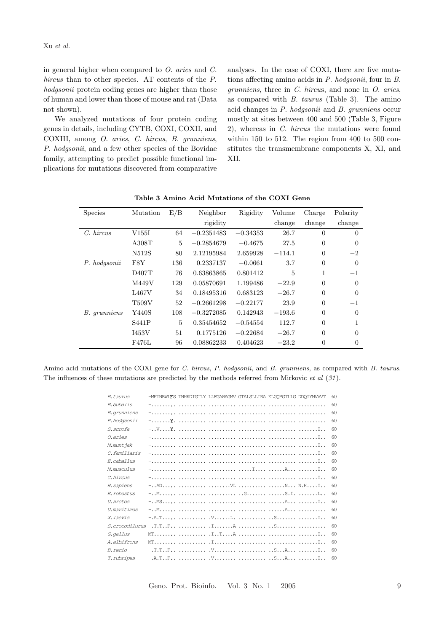in general higher when compared to O. aries and C. hircus than to other species. AT contents of the P. hodgsonii protein coding genes are higher than those of human and lower than those of mouse and rat (Data not shown).

We analyzed mutations of four protein coding genes in details, including CYTB, COXI, COXII, and COXIII, among O. aries, C. hircus, B. grunniens, P. hodgsonii, and a few other species of the Bovidae family, attempting to predict possible functional implications for mutations discovered from comparative analyses. In the case of COXI, there are five mutations affecting amino acids in P. hodgsonii, four in B. grunniens, three in C. hircus, and none in O. aries, as compared with B. taurus (Table 3). The amino acid changes in P. hodgsonii and B. grunniens occur mostly at sites between 400 and 500 (Table 3, Figure 2), whereas in C. hircus the mutations were found within 150 to 512. The region from 400 to 500 constitutes the transmembrane components X, XI, and XII.

| <b>Species</b> | Mutation | E/B            | Neighbor     | Rigidity   | Volume   | Charge         | Polarity       |
|----------------|----------|----------------|--------------|------------|----------|----------------|----------------|
|                |          |                | rigidity     |            | change   | change         | change         |
| $C.$ hircus    | V155I    | 64             | $-0.2351483$ | $-0.34353$ | 26.7     | $\overline{0}$ | $\Omega$       |
|                | A308T    | 5              | $-0.2854679$ | $-0.4675$  | 27.5     | $\overline{0}$ | $\Omega$       |
|                | N512S    | 80             | 2.12195984   | 2.659928   | $-114.1$ | $\theta$       | $-2$           |
| P. hodgsonii   | F8Y      | 136            | 0.2337137    | $-0.0661$  | 3.7      | $\Omega$       | $\Omega$       |
|                | D407T    | 76             | 0.63863865   | 0.801412   | 5        | 1              | $-1$           |
|                | M449V    | 129            | 0.05870691   | 1.199486   | $-22.9$  | $\Omega$       | $\Omega$       |
|                | L467V    | 34             | 0.18495316   | 0.683123   | $-26.7$  | $\Omega$       | $\Omega$       |
|                | T509V    | 52             | $-0.2661298$ | $-0.22177$ | 23.9     | $\overline{0}$ | $^{-1}$        |
| B. grunniens   | Y440S    | 108            | $-0.3272085$ | 0.142943   | $-193.6$ | $\Omega$       | $\Omega$       |
|                | S441P    | $\overline{5}$ | 0.35454652   | $-0.54554$ | 112.7    | $\overline{0}$ | 1              |
|                | I453V    | 51             | 0.1775126    | $-0.22684$ | $-26.7$  | $\Omega$       | $\Omega$       |
|                | F476L    | 96             | 0.08862233   | 0.404623   | $-23.2$  | $\overline{0}$ | $\overline{0}$ |

Table 3 Amino Acid Mutations of the COXI Gene

Amino acid mutations of the COXI gene for C. hircus, P. hodgsonii, and B. grunniens, as compared with B. taurus. The influences of these mutations are predicted by the methods referred from Mirkovic *et al*  $(31)$ .

| -MFINRWLIS TNHKDIGTLY LLFGAWAGMV GTALSLLIRA ELGOPGTLLG DDOIYNVVVT<br>B. taurus<br><i>B.bubalis</i><br><i>B.qrunniens</i><br>P.hodgsonii<br><i>S.scrofa</i><br><i>O.aries</i><br>M.munt jak<br>C.familiaris<br>E.caballus<br>M.musculus<br>C.hircus<br><i>H. sapiens</i><br>E.robustus<br>U.arctos<br><i>U.maritimus</i><br><i>X.laevis</i><br>G.gallus<br><i>A.albifrons</i><br><i>B.rerio</i><br>T.rubripes |  |  |  |     |
|--------------------------------------------------------------------------------------------------------------------------------------------------------------------------------------------------------------------------------------------------------------------------------------------------------------------------------------------------------------------------------------------------------------|--|--|--|-----|
|                                                                                                                                                                                                                                                                                                                                                                                                              |  |  |  | 60  |
|                                                                                                                                                                                                                                                                                                                                                                                                              |  |  |  | 60  |
|                                                                                                                                                                                                                                                                                                                                                                                                              |  |  |  | 60  |
|                                                                                                                                                                                                                                                                                                                                                                                                              |  |  |  | -60 |
|                                                                                                                                                                                                                                                                                                                                                                                                              |  |  |  | 60  |
|                                                                                                                                                                                                                                                                                                                                                                                                              |  |  |  | 60  |
|                                                                                                                                                                                                                                                                                                                                                                                                              |  |  |  | 60  |
|                                                                                                                                                                                                                                                                                                                                                                                                              |  |  |  | 60  |
|                                                                                                                                                                                                                                                                                                                                                                                                              |  |  |  | 60  |
|                                                                                                                                                                                                                                                                                                                                                                                                              |  |  |  | 60  |
|                                                                                                                                                                                                                                                                                                                                                                                                              |  |  |  | 60  |
|                                                                                                                                                                                                                                                                                                                                                                                                              |  |  |  | 60  |
|                                                                                                                                                                                                                                                                                                                                                                                                              |  |  |  | 60  |
|                                                                                                                                                                                                                                                                                                                                                                                                              |  |  |  | 60  |
|                                                                                                                                                                                                                                                                                                                                                                                                              |  |  |  | 60  |
|                                                                                                                                                                                                                                                                                                                                                                                                              |  |  |  | 60  |
|                                                                                                                                                                                                                                                                                                                                                                                                              |  |  |  | 60  |
|                                                                                                                                                                                                                                                                                                                                                                                                              |  |  |  | 60  |
|                                                                                                                                                                                                                                                                                                                                                                                                              |  |  |  | 60  |
|                                                                                                                                                                                                                                                                                                                                                                                                              |  |  |  | 60  |
|                                                                                                                                                                                                                                                                                                                                                                                                              |  |  |  | -60 |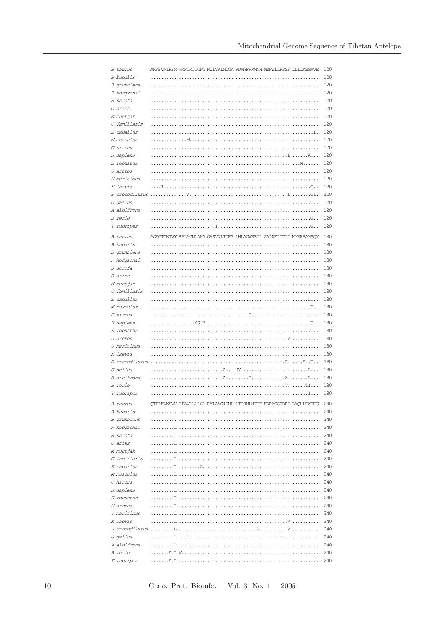| <i>B. taurus</i>         |   |                          |        | AHAFVMIFFM VMPIMIGGFG NWLVPLMIGA PDMAFPRMNN MSFWLLPPSF LLLLASSMVE |                  |        | 120        |
|--------------------------|---|--------------------------|--------|-------------------------------------------------------------------|------------------|--------|------------|
| B.bubalis                |   | .                        | $\sim$ | .                                                                 | .                |        | 120        |
| B. grunniens             |   |                          |        |                                                                   |                  |        | 120        |
| P.hodgsonii              |   |                          |        |                                                                   |                  |        | 120        |
| S. scrofa                |   |                          |        |                                                                   |                  |        | 120        |
| 0.aries                  |   |                          |        |                                                                   |                  |        | 120        |
| M.munt jak               |   |                          |        |                                                                   |                  |        | 120        |
| C.familiaris             |   |                          |        |                                                                   |                  |        | 120        |
| E.caballus               |   |                          |        |                                                                   |                  |        | 120        |
| M.musculus               |   |                          |        |                                                                   |                  |        | 120        |
| C.hircus                 |   |                          |        |                                                                   |                  |        | 120        |
| H. sapiens               |   |                          |        |                                                                   |                  |        | 120        |
| E.robustus               | . |                          |        |                                                                   |                  |        | 120        |
| U. arctos                |   |                          |        |                                                                   |                  |        | 120        |
| U.maritimus              |   |                          |        |                                                                   |                  |        | 120        |
| X.laevis                 |   |                          |        |                                                                   | .                | . G. . | 120        |
|                          |   |                          |        |                                                                   |                  |        | 120<br>120 |
| G. gallus<br>A.albifrons | . | .                        |        |                                                                   |                  | . T    | 120        |
| B.rerio                  | . |                          |        |                                                                   | . T. .           |        | 120        |
| T.rubripes               | . |                          |        |                                                                   | .                | . G. . | 120        |
|                          |   |                          |        |                                                                   |                  |        |            |
| B. taurus                |   |                          |        | AGAGIGWIVY PPLAGNLAHA GASVDLIIFS LHLAGVSSIL GAINFITTII NMKPPAMSOY |                  |        | 180        |
| B.bubalis                |   |                          |        |                                                                   |                  |        | 180        |
| B. grunniens             |   |                          |        |                                                                   |                  |        | 180        |
| P.hodgsonii              |   |                          |        |                                                                   |                  |        | 180        |
| S. scrofa                | . | and a state of the state |        |                                                                   |                  |        | 180        |
| 0. aries                 | . |                          |        |                                                                   |                  |        | 180        |
| M.munt jak               |   |                          |        |                                                                   |                  |        | 180        |
| C.familiaris             |   |                          |        |                                                                   |                  |        | 180        |
| E. caballus              |   |                          |        |                                                                   | . 1.             |        | 180        |
| M.musculus               | . |                          |        |                                                                   |                  |        | 180        |
| C.hircus                 |   |                          |        |                                                                   |                  |        | 180<br>180 |
| H. sapiens<br>E.robustus |   |                          |        |                                                                   |                  |        | 180        |
| U.arctos                 |   |                          |        |                                                                   |                  |        | 180        |
| U.maritimus              |   |                          |        |                                                                   |                  |        | 180        |
| X.laevis                 |   |                          |        |                                                                   |                  |        | 180        |
|                          |   |                          |        |                                                                   |                  |        | 180        |
| G. gallus                |   |                          |        |                                                                   |                  | . L.   | 180        |
| A.albifrons              |   |                          |        | A I A. L                                                          |                  |        | 180        |
| B.rerio                  |   |                          |        |                                                                   | $1.1.1.1.1.1$ TT |        | 180        |
| T.rubripes               |   |                          |        |                                                                   |                  |        | 180        |
|                          |   |                          |        |                                                                   |                  |        |            |
| <i>B. taurus</i>         |   |                          |        | QTPLFVWSVM ITAVLLLLSL PVLAAGITML LTDRNLNTTF FDPAGGGDPI LYQHLFWFFG |                  |        | 240        |
| B.bubalis                |   | .                        |        |                                                                   | .                |        | 240        |
| B. grunniens             |   |                          |        |                                                                   |                  |        | 240<br>240 |
| P.hodgsonii<br>S. scrofa |   |                          |        |                                                                   |                  |        | 240        |
| 0.aries                  |   |                          |        |                                                                   |                  |        | 240        |
| M.munt jak               |   |                          |        |                                                                   |                  |        | 240        |
| C.familiaris             |   |                          |        |                                                                   |                  |        | 240        |
| E.caballus               |   |                          |        |                                                                   |                  |        | 240        |
| M.musculus               |   |                          |        |                                                                   |                  |        | 240        |
| C.hircus                 |   |                          |        |                                                                   |                  |        | 240        |
| H. sapiens               |   |                          |        |                                                                   |                  |        | 240        |
| E.robustus               |   |                          |        |                                                                   |                  |        | 240        |
| U.arctos                 |   |                          |        |                                                                   |                  |        | 240        |
| U.maritimus              |   |                          |        |                                                                   |                  |        | 240        |
| X.laevis                 |   |                          |        |                                                                   |                  |        | 240        |
|                          |   |                          |        |                                                                   |                  |        | 240        |
| G. gallus                |   |                          |        |                                                                   |                  |        | 240        |
| A.albifrons              |   |                          |        |                                                                   |                  |        | 240        |
| B.rerio                  |   |                          |        |                                                                   |                  |        | 240        |
| T.rubripes               |   |                          |        |                                                                   |                  |        | 240        |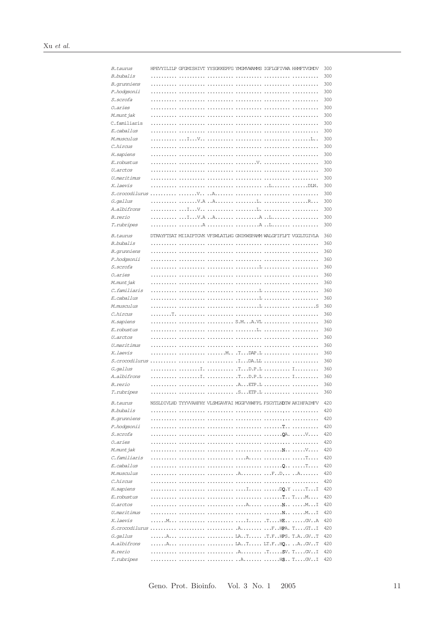| B. taurus      |   |                                  |                          | HPEVYILILP GFGMISHIVT YYSGKKEPFG YMGMVWAMMS IGFLGFIVWA HHMFTVGMDV |                             |                       | 300 |
|----------------|---|----------------------------------|--------------------------|-------------------------------------------------------------------|-----------------------------|-----------------------|-----|
| B.bubalis      |   |                                  |                          |                                                                   |                             |                       | 300 |
| B. grunniens   |   |                                  |                          |                                                                   |                             |                       | 300 |
| P.hodgsonii    |   |                                  |                          |                                                                   |                             |                       | 300 |
| S. scrofa      |   | .                                |                          |                                                                   |                             |                       | 300 |
| 0. aries       |   |                                  | and a state of the state | .                                                                 | and a complete state        |                       | 300 |
| M.munt jak     |   |                                  |                          |                                                                   |                             |                       | 300 |
| C.familiaris   |   |                                  |                          |                                                                   |                             |                       | 300 |
| E. caballus    |   |                                  |                          |                                                                   |                             |                       | 300 |
| M.musculus     |   | $\ldots$ I. $\ldots$ V. $\ldots$ | .                        |                                                                   |                             |                       | 300 |
| C.hircus       |   | .                                | .                        | .                                                                 | .                           |                       | 300 |
| H. sapiens     | . | .                                | .                        |                                                                   |                             |                       | 300 |
| E. robustus    |   |                                  |                          | . V.                                                              |                             |                       | 300 |
| U.arctos       |   |                                  |                          |                                                                   |                             |                       | 300 |
| U.maritimus    |   |                                  | .                        | .                                                                 |                             |                       | 300 |
| X.laevis       |   |                                  |                          |                                                                   |                             |                       | 300 |
|                |   |                                  |                          |                                                                   | .                           |                       | 300 |
| G. gallus      |   |                                  |                          |                                                                   |                             | $\ldots$              | 300 |
| A.albifrons    |   | .   I V                          |                          | $\ldots$ $\mathbb{L}$ .                                           |                             |                       | 300 |
| B.rerio        |   | IV.AA                            |                          |                                                                   | . A L.                      |                       | 300 |
| T.rubripes     |   | . A                              |                          |                                                                   | $\ldots$ . $A$ $\ldots$ $L$ |                       | 300 |
|                |   |                                  |                          |                                                                   |                             |                       |     |
| B. taurus      |   |                                  |                          | DTRAYFTSAT MIIAIPTGVK VFSWLATLHG GNIKWSPAMM WALGFIFLFT VGGLTGIVLA |                             |                       | 360 |
| $B. b$ ubalis  |   | .                                |                          |                                                                   |                             |                       | 360 |
| B. grunniens   | . | .                                | .                        | .                                                                 |                             |                       | 360 |
| P.hodgsonii    |   | .                                |                          |                                                                   |                             |                       | 360 |
| S. scrofa      |   |                                  |                          |                                                                   |                             |                       | 360 |
| 0. aries       |   |                                  |                          | .                                                                 | .                           |                       | 360 |
| M.munt jak     |   |                                  |                          |                                                                   |                             |                       | 360 |
| C.familiaris   |   |                                  | .                        |                                                                   |                             |                       | 360 |
| E. caballus    |   |                                  |                          |                                                                   |                             |                       | 360 |
| M.musculus     |   |                                  |                          |                                                                   |                             |                       | 360 |
| C.hircus       |   |                                  |                          |                                                                   |                             |                       | 360 |
| H. sapiens     |   |                                  |                          | S.MA.VL                                                           |                             |                       | 360 |
| E.robustus     |   |                                  |                          |                                                                   | . L.                        |                       | 360 |
| U.arctos       |   |                                  |                          |                                                                   | .                           |                       | 360 |
| U.maritimus    |   |                                  | .                        |                                                                   |                             | and a straightful and | 360 |
| X. laevis      |   |                                  |                          |                                                                   |                             |                       | 360 |
| S.crocodilurus |   | 1.1.1.1                          |                          | . I DA. LL                                                        |                             |                       | 360 |
| G. gallus      |   | $\ldots$ I.                      |                          | .TD.P.L  I                                                        |                             |                       | 360 |
| A.albifrons    |   | . . I .                          | .                        | .TD.P.L                                                           |                             | Ι.,                   | 360 |
| B.rerio        |   |                                  |                          | .A. <b>ETP. L</b>                                                 |                             |                       | 360 |
| T.rubripes     |   |                                  |                          |                                                                   |                             |                       | 360 |
| B. taurus      |   |                                  |                          | NSSLDIVLHD TYYVVAHFHY VLSMGAVFAI MGGFVHWFPL FSGYTIADTW AKIHFAIMFV |                             |                       | 420 |
| B.bubalis      |   |                                  |                          |                                                                   |                             |                       | 420 |
| B. grunniens   |   |                                  |                          |                                                                   |                             |                       | 420 |
| P.hodgsonii    |   |                                  |                          |                                                                   |                             |                       | 420 |
| S. scrofa      |   |                                  |                          |                                                                   |                             |                       | 420 |
| 0.aries        |   |                                  |                          |                                                                   |                             |                       | 420 |
| M.munt jak     |   |                                  |                          |                                                                   |                             |                       | 420 |
| C.familiaris   |   |                                  |                          |                                                                   |                             |                       | 420 |
| E. caballus    |   |                                  |                          |                                                                   |                             |                       | 420 |
| M.musculus     |   |                                  |                          |                                                                   |                             |                       | 420 |
| C.hircus       |   |                                  |                          |                                                                   |                             |                       | 420 |
| H. sapiens     |   |                                  |                          |                                                                   |                             |                       | 420 |
| E.robustus     |   |                                  |                          |                                                                   |                             |                       | 420 |
| U.arctos       |   |                                  |                          |                                                                   |                             |                       | 420 |
| U.maritimus    |   |                                  |                          |                                                                   |                             |                       | 420 |
| X.laevis       |   |                                  |                          |                                                                   |                             |                       | 420 |
|                |   |                                  |                          |                                                                   |                             |                       | 420 |
| G. gallus      |   |                                  |                          | A   LAT .T.FHPS. T.AGVT                                           |                             |                       | 420 |
| A.albifrons    |   |                                  |                          | A   LAT LT.FHQ AGVT                                               |                             |                       | 420 |
| B.rerio        |   |                                  |                          |                                                                   |                             |                       | 420 |
| T.rubripes     |   |                                  |                          |                                                                   |                             |                       | 420 |

Geno. Prot. Bioinfo.  $\,$  Vol. 3 No. 1  $\,$  2005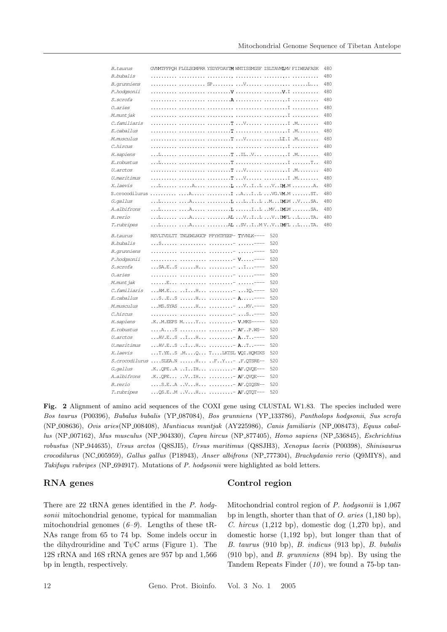| <i>B. taurus</i>   | GVNMTFFPQH FLGLSGMPRR YSDYPDAYIM WNTISSMGSF ISLTAVMLMV FIIWEAFASK                                                       | 480 |
|--------------------|-------------------------------------------------------------------------------------------------------------------------|-----|
| B.bubalis          |                                                                                                                         | 480 |
| B. grunniens       | SP, V  L                                                                                                                | 480 |
| P.hodgsonii        |                                                                                                                         | 480 |
| <i>S.scrofa</i>    |                                                                                                                         | 480 |
| <i>O.aries</i>     |                                                                                                                         | 480 |
| M.munt jak         |                                                                                                                         | 480 |
| C.familiaris       |                                                                                                                         | 480 |
| E. caballus        |                                                                                                                         | 480 |
| M.musculus         |                                                                                                                         | 480 |
| C.hircus           |                                                                                                                         | 480 |
| H. sapiens         | L  T ILV I .M                                                                                                           | 480 |
| E.robustus         |                                                                                                                         | 480 |
| U.arctos           |                                                                                                                         | 480 |
| U.maritimus        |                                                                                                                         | 480 |
| X.laevis           | L A L VIL VIM.M A.                                                                                                      | 480 |
|                    | $S.\n$ crocodilurus $\dots A.\n$ $\dots \dots I.\n$ $I.\n$ $U.\n$ $VG.M.M.\n$ $ST.$                                     | 480 |
| G. gallus          | L A L LIL MIMIM VSA.                                                                                                    | 480 |
| A.albifrons        |                                                                                                                         | 480 |
| <i>B.rerio</i>     |                                                                                                                         | 480 |
| T.rubripes         | $\ldots$ L $\ldots$ $A$ $\ldots$ $A$ <b>L</b> $\ldots$ SV $\ldots$ I $\ldots$ M $\vee$ $M$ <b>M</b> $\ldots$ L $\ldots$ | 480 |
|                    |                                                                                                                         |     |
| B. taurus          | REVLIVDLIT TNLEWLNGCP PPYHTFEEP-TYVNLK----<br>520                                                                       |     |
| B.bubalis          | S  - -<br>520                                                                                                           |     |
| B. grunniens       | = ==<br>520                                                                                                             |     |
| P.hodgsonii        | 520                                                                                                                     |     |
| S. scrofa          | SA.ES  H   I ----<br>520                                                                                                |     |
| <i>O.aries</i>     | 520                                                                                                                     |     |
| M.munt jak         | E  - -<br>520                                                                                                           |     |
| C.familiaris       | $AM.E$ I $H$ IQ.---<br>520                                                                                              |     |
| E. caballus        | $\ldots$ S. .E. .S $\ldots$ H $\ldots$ <b>A</b> -<br>520                                                                |     |
| M.musculus         | MS.SYAS H - KV.----<br>520                                                                                              |     |
| C.hircus           | 520                                                                                                                     |     |
| H. sapiens         | .KM.EEPS MY  - V.MKS-----<br>520                                                                                        |     |
| E.robustus         | $A$ $S$ <b>A</b> FP.WS--<br>520                                                                                         |     |
| U.arctos           | AV.ES I H  - <b>A</b> T----<br>520                                                                                      |     |
| <i>U.maritimus</i> | 520<br>AV.ES IH  - <b>A</b> T----                                                                                       |     |
| X.laevis           | T.YES .MQ TLKTSL VQI.HOMIKS<br>520                                                                                      |     |
|                    | $S.\croscolilurus$ $SLEA.N$ $H$ $FY$ $F.QTSRE--$<br>520                                                                 |     |
| G. gallus          | $.K. QPE. A. I. IH. - AF. QVQE---$<br>520                                                                               |     |
| A.albifrons        | $.K. QPE$ $.V. IH$ $1.11$ $AF. QVQE--$<br>520                                                                           |     |
| B.rerio            | $\ldots$ .S.EA VH  AF.QIQSN--<br>520                                                                                    |     |

Fig. 2 Alignment of amino acid sequences of the COXI gene using CLUSTAL W1.83. The species included were Bos taurus (P00396), Bubalus bubalis (YP 087084), Bos grunniens (YP 133786), Pantholops hodgsonii, Sus scrofa (NP 008636), Ovis aries(NP 008408), Muntiacus muntjak (AY225986), Canis familiaris (NP 008473), Equus caballus (NP 007162), Mus musculus (NP 904330), Capra hircus (NP 877405), Homo sapiens (NP 536845), Eschrichtius robustus (NP 944635), Ursus arctos (Q8SJI5), Ursus maritimus (Q8SJH3), Xenopus laevis (P00398), Shinisaurus crocodilurus (NC 005959), Gallus gallus (P18943), Anser albifrons (NP 777304), Brachydanio rerio (Q9MIY8), and Takifugu rubripes (NP\_694917). Mutations of P. hodgsonii were highlighted as bold letters.

#### RNA genes

#### Control region

There are 22 tRNA genes identified in the P. hodgsonii mitochondrial genome, typical for mammalian mitochondrial genomes  $(6-9)$ . Lengths of these tR-NAs range from 65 to 74 bp. Some indels occur in the dihydrouridine and  $T\psi C$  arms (Figure 1). The 12S rRNA and 16S rRNA genes are 957 bp and 1,566 bp in length, respectively.

Mitochondrial control region of P. hodgsonii is 1,067 bp in length, shorter than that of  $O$ . aries  $(1,180$  bp), C. hircus  $(1,212$  bp), domestic dog  $(1,270$  bp), and domestic horse (1,192 bp), but longer than that of B. taurus (910 bp), B. indicus (913 bp), B. bubalis (910 bp), and B. grunniens (894 bp). By using the Tandem Repeats Finder  $(10)$ , we found a 75-bp tan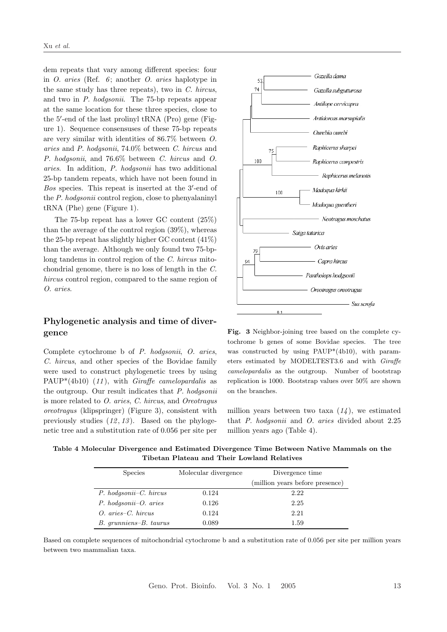dem repeats that vary among different species: four in  $O.$  aries (Ref. 6; another  $O.$  aries haplotype in the same study has three repeats), two in C. hircus, and two in P. hodgsonii. The 75-bp repeats appear at the same location for these three species, close to the 5'-end of the last prolinyl tRNA (Pro) gene (Figure 1). Sequence consensuses of these 75-bp repeats are very similar with identities of 86.7% between O. aries and P. hodgsonii, 74.0% between C. hircus and P. hodgsonii, and 76.6% between C. hircus and O. aries. In addition, P. hodgsonii has two additional 25-bp tandem repeats, which have not been found in Bos species. This repeat is inserted at the 3'-end of the P. hodgsonii control region, close to phenyalaninyl tRNA (Phe) gene (Figure 1).

The 75-bp repeat has a lower GC content (25%) than the average of the control region (39%), whereas the 25-bp repeat has slightly higher GC content (41%) than the average. Although we only found two 75-bplong tandems in control region of the C. hircus mitochondrial genome, there is no loss of length in the C. hircus control region, compared to the same region of O. aries.

### Phylogenetic analysis and time of divergence

Complete cytochrome b of P. hodgsonii, O. aries, C. hircus, and other species of the Bovidae family were used to construct phylogenetic trees by using  $PAUP*(4b10)$  (11), with Giraffe camelopardalis as the outgroup. Our result indicates that  $P$ . hodgsonii is more related to O. aries, C. hircus, and Oreotragus oreotragus (klipspringer) (Figure 3), consistent with previously studies  $(12, 13)$ . Based on the phylogenetic tree and a substitution rate of 0.056 per site per



Fig. 3 Neighbor-joining tree based on the complete cytochrome b genes of some Bovidae species. The tree was constructed by using PAUP\*(4b10), with parameters estimated by MODELTEST3.6 and with Giraffe camelopardalis as the outgroup. Number of bootstrap replication is 1000. Bootstrap values over 50% are shown on the branches.

million years between two taxa  $(14)$ , we estimated that P. hodgsonii and O. aries divided about 2.25 million years ago (Table 4).

Table 4 Molecular Divergence and Estimated Divergence Time Between Native Mammals on the Tibetan Plateau and Their Lowland Relatives

| <b>Species</b>              | Molecular divergence | Divergence time                 |
|-----------------------------|----------------------|---------------------------------|
|                             |                      | (million years before presence) |
| $P.$ hodgsonii- $C.$ hircus | 0.124                | 2.22                            |
| $P.$ hodgsonii- $O.$ aries  | 0.126                | 2.25                            |
| $O.$ aries– $C.$ hircus     | 0.124                | 2.21                            |
| B. grunniens-B. taurus      | 0.089                | 1.59                            |

Based on complete sequences of mitochondrial cytochrome b and a substitution rate of 0.056 per site per million years between two mammalian taxa.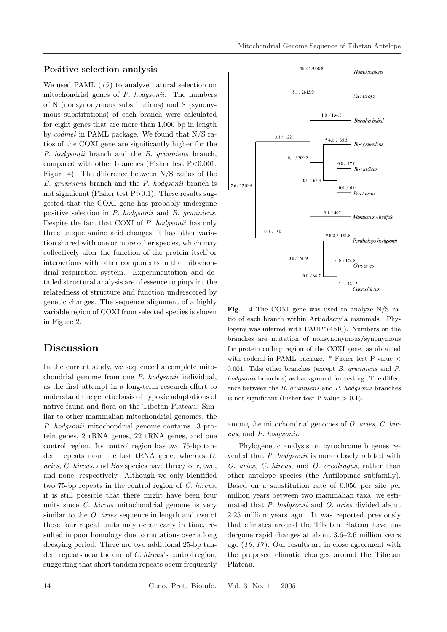#### Positive selection analysis

We used PAML  $(15)$  to analyze natural selection on mitochondrial genes of P. hodgsonii. The numbers of N (nonsynonymous substitutions) and S (synonymous substitutions) of each branch were calculated for eight genes that are more than 1,000 bp in length by codmel in PAML package. We found that N/S ratios of the COXI gene are significantly higher for the P. hodgsonii branch and the B. grunniens branch, compared with other branches (Fisher test  $P < 0.001$ ; Figure 4). The difference between N/S ratios of the B. grunniens branch and the P. hodgsonii branch is not significant (Fisher test  $P>0.1$ ). These results suggested that the COXI gene has probably undergone positive selection in P. hodgsonii and B. grunniens. Despite the fact that COXI of P. hodgsonii has only three unique amino acid changes, it has other variation shared with one or more other species, which may collectively alter the function of the protein itself or interactions with other components in the mitochondrial respiration system. Experimentation and detailed structural analysis are of essence to pinpoint the relatedness of structure and function underscored by genetic changes. The sequence alignment of a highly variable region of COXI from selected species is shown in Figure 2.

## Discussion

In the current study, we sequenced a complete mitochondrial genome from one P. hodgsonii individual, as the first attempt in a long-term research effort to understand the genetic basis of hypoxic adaptations of native fauna and flora on the Tibetan Plateau. Similar to other mammalian mitochondrial genomes, the P. hodgsonii mitochondrial genome contains 13 protein genes, 2 rRNA genes, 22 tRNA genes, and one control region. Its control region has two 75-bp tandem repeats near the last tRNA gene, whereas O. aries, C. hircus, and Bos species have three/four, two, and none, respectively. Although we only identified two 75-bp repeats in the control region of C. hircus, it is still possible that there might have been four units since *C. hircus* mitochondrial genome is very similar to the *O*. aries sequence in length and two of these four repeat units may occur early in time, resulted in poor homology due to mutations over a long decaying period. There are two additional 25-bp tandem repeats near the end of C. hircus's control region, suggesting that short tandem repeats occur frequently



Fig. 4 The COXI gene was used to analyze N/S ratio of each branch within Artiodactyla mammals. Phylogeny was inferred with PAUP\*(4b10). Numbers on the branches are mutation of nonsynonymous/synonymous for protein coding region of the COXI gene, as obtained with codeml in PAML package. \* Fisher test P-value < 0.001. Take other branches (except B. grunniens and P. hodgsonii branches) as background for testing. The difference between the B. grunniens and P. hodgsonii branches is not significant (Fisher test P-value  $> 0.1$ ).

among the mitochondrial genomes of O. aries, C. hircus, and P. hodgsonii.

Phylogenetic analysis on cytochrome b genes revealed that P. hodgsonii is more closely related with O. aries, C. hircus, and O. oreotragus, rather than other antelope species (the Antilopinae subfamily). Based on a substitution rate of 0.056 per site per million years between two mammalian taxa, we estimated that P. hodgsonii and O. aries divided about 2.25 million years ago. It was reported previously that climates around the Tibetan Plateau have undergone rapid changes at about 3.6–2.6 million years ago  $(16, 17)$ . Our results are in close agreement with the proposed climatic changes around the Tibetan Plateau.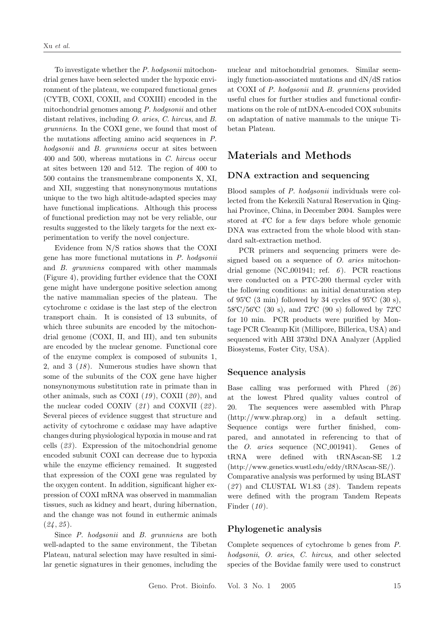To investigate whether the P. hodgsonii mitochondrial genes have been selected under the hypoxic environment of the plateau, we compared functional genes (CYTB, COXI, COXII, and COXIII) encoded in the mitochondrial genomes among P. hodgsonii and other distant relatives, including O. aries, C. hircus, and B. grunniens. In the COXI gene, we found that most of the mutations affecting amino acid sequences in P. hodgsonii and B. grunniens occur at sites between 400 and 500, whereas mutations in C. hircus occur at sites between 120 and 512. The region of 400 to 500 contains the transmembrane components X, XI, and XII, suggesting that nonsynonymous mutations unique to the two high altitude-adapted species may have functional implications. Although this process of functional prediction may not be very reliable, our results suggested to the likely targets for the next experimentation to verify the novel conjecture.

Evidence from N/S ratios shows that the COXI gene has more functional mutations in P. hodgsonii and B. grunniens compared with other mammals (Figure 4), providing further evidence that the COXI gene might have undergone positive selection among the native mammalian species of the plateau. The cytochrome c oxidase is the last step of the electron transport chain. It is consisted of 13 subunits, of which three subunits are encoded by the mitochondrial genome (COXI, II, and III), and ten subunits are encoded by the nuclear genome. Functional core of the enzyme complex is composed of subunits 1, 2, and  $3(18)$ . Numerous studies have shown that some of the subunits of the COX gene have higher nonsynonymous substitution rate in primate than in other animals, such as COXI  $(19)$ , COXII  $(20)$ , and the nuclear coded COXIV  $(21)$  and COXVII  $(22)$ . Several pieces of evidence suggest that structure and activity of cytochrome c oxidase may have adaptive changes during physiological hypoxia in mouse and rat cells (23 ). Expression of the mitochondrial genome encoded subunit COXI can decrease due to hypoxia while the enzyme efficiency remained. It suggested that expression of the COXI gene was regulated by the oxygen content. In addition, significant higher expression of COXI mRNA was observed in mammalian tissues, such as kidney and heart, during hibernation, and the change was not found in euthermic animals  $(24, 25)$ .

Since P. hodgsonii and B. grunniens are both well-adapted to the same environment, the Tibetan Plateau, natural selection may have resulted in similar genetic signatures in their genomes, including the

nuclear and mitochondrial genomes. Similar seemingly function-associated mutations and dN/dS ratios at COXI of P. hodgsonii and B. grunniens provided useful clues for further studies and functional confirmations on the role of mtDNA-encoded COX subunits on adaptation of native mammals to the unique Tibetan Plateau.

## Materials and Methods

#### DNA extraction and sequencing

Blood samples of P. hodgsonii individuals were collected from the Kekexili Natural Reservation in Qinghai Province, China, in December 2004. Samples were stored at  $4^{\circ}$ C for a few days before whole genomic DNA was extracted from the whole blood with standard salt-extraction method.

PCR primers and sequencing primers were designed based on a sequence of O. aries mitochondrial genome (NC<sub>-001941</sub>; ref.  $\epsilon$ ). PCR reactions were conducted on a PTC-200 thermal cycler with the following conditions: an initial denaturation step of  $95^{\circ}$ C  $(3 \text{ min})$  followed by 34 cycles of  $95^{\circ}$ C  $(30 \text{ s})$ , 58℃/56℃ (30 s), and 72℃ (90 s) followed by 72℃ for 10 min. PCR products were purified by Montage PCR Cleanup Kit (Millipore, Billerica, USA) and sequenced with ABI 3730xl DNA Analyzer (Applied Biosystems, Foster City, USA).

#### Sequence analysis

Base calling was performed with Phred (26) at the lowest Phred quality values control of 20. The sequences were assembled with Phrap (http://www.phrap.org) in a default setting. Sequence contigs were further finished, compared, and annotated in referencing to that of the *O. aries* sequence (NC<sub>-001941</sub>). Genes of tRNA were defined with tRNAscan-SE 1.2 (http://www.genetics.wustl.edu/eddy/tRNAscan-SE/). Comparative analysis was performed by using BLAST  $(27)$  and CLUSTAL W1.83  $(28)$ . Tandem repeats were defined with the program Tandem Repeats Finder  $(10)$ .

### Phylogenetic analysis

Complete sequences of cytochrome b genes from P. hodgsonii, O. aries, C. hircus, and other selected species of the Bovidae family were used to construct

Geno. Prot. Bioinfo. Vol. 3 No. 1 2005 15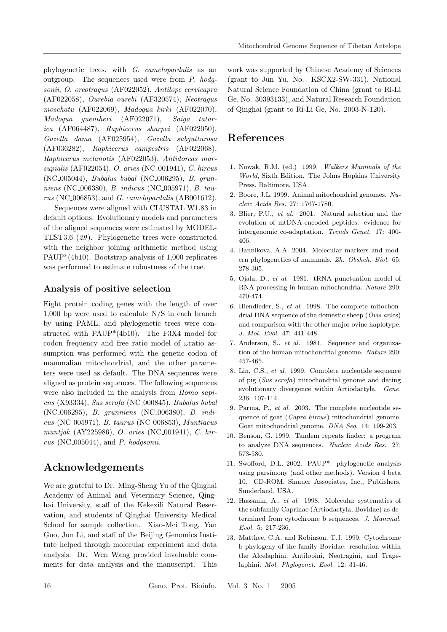phylogenetic trees, with G. camelopardalis as an outgroup. The sequences used were from P. hodgsonii, O. oreotragus (AF022052), Antilope cervicapra (AF022058), Ourebia ourebi (AF320574), Neotragus moschatu (AF022069), Madoqua kirki (AF022070), Madoqua guentheri (AF022071), Saiga tatarica (AF064487), Raphicerus sharpei (AF022050), Gazella dama (AF025954), Gazella subgutturosa (AF036282), Raphicerus campestris (AF022068), Raphicerus melanotis (AF022053), Antidorcas marsupialis (AF022054), O. aries (NC 001941), C. hircus (NC 005044), Bubalus bubal (NC 006295), B. grunniens (NC 006380), B. indicus (NC 005971), B. taurus (NC<sub>-006853</sub>), and *G. camelopardalis* (AB001612).

Sequences were aligned with CLUSTAL W1.83 in default options. Evolutionary models and parameters of the aligned sequences were estimated by MODEL-TEST3.6 (29 ). Phylogenetic trees were constructed with the neighbor joining arithmetic method using PAUP\*(4b10). Bootstrap analysis of 1,000 replicates was performed to estimate robustness of the tree.

### Analysis of positive selection

Eight protein coding genes with the length of over 1,000 bp were used to calculate N/S in each branch by using PAML, and phylogenetic trees were constructed with PAUP\*(4b10). The F3X4 model for codon frequency and free ratio model of  $\omega$  ratio assumption was performed with the genetic codon of mammalian mitochondrial, and the other parameters were used as default. The DNA sequences were aligned as protein sequences. The following sequences were also included in the analysis from Homo sapiens (X93334), Sus scrofa (NC<sub>-000845</sub>), Bubalus bubal (NC 006295), B. grunniens (NC 006380), B. indicus (NC 005971), B. taurus (NC 006853), Muntiacus muntjak (AY225986), O. aries (NC 001941), C. hir $cus (NC_005044), and P. hod gsonii.$ 

# Acknowledgements

We are grateful to Dr. Ming-Sheng Yu of the Qinghai Academy of Animal and Veterinary Science, Qinghai University, staff of the Kekexili Natural Reservation, and students of Qinghai University Medical School for sample collection. Xiao-Mei Tong, Yan Guo, Jun Li, and staff of the Beijing Genomics Institute helped through molecular experiment and data analysis. Dr. Wen Wang provided invaluable comments for data analysis and the manuscript. This

work was supported by Chinese Academy of Sciences (grant to Jun Yu, No. KSCX2-SW-331), National Natural Science Foundation of China (grant to Ri-Li Ge, No. 30393133), and Natural Research Foundation of Qinghai (grant to Ri-Li Ge, No. 2003-N-120).

# References

- 1. Nowak, R.M. (ed.) 1999. Walkers Mammals of the World, Sixth Edition. The Johns Hopkins University Press, Baltimore, USA.
- 2. Boore, J.L. 1999. Animal mitochondrial genomes. Nucleic Acids Res. 27: 1767-1780.
- 3. Blier, P.U., et al. 2001. Natural selection and the evolution of mtDNA-encoded peptides: evidence for intergenomic co-adaptation. Trends Genet. 17: 400- 406.
- 4. Bannikova, A.A. 2004. Molecular markers and modern phylogenetics of mammals. Zh. Obshch. Biol. 65: 278-305.
- 5. Ojala, D., et al. 1981. tRNA punctuation model of RNA processing in human mitochondria. Nature 290: 470-474.
- 6. Hiendleder, S., et al. 1998. The complete mitochondrial DNA sequence of the domestic sheep (Ovis aries) and comparison with the other major ovine haplotype. J. Mol. Evol. 47: 441-448.
- 7. Anderson, S., et al. 1981. Sequence and organization of the human mitochondrial genome. Nature 290: 457-465.
- 8. Lin, C.S., et al. 1999. Complete nucleotide sequence of pig (Sus scrofa) mitochondrial genome and dating evolutionary divergence within Artiodactyla. Gene. 236: 107-114.
- 9. Parma, P., et al. 2003. The complete nucleotide sequence of goat (Capra hircus) mitochondrial genome. Goat mitochondrial genome. DNA Seq. 14: 199-203.
- 10. Benson, G. 1999. Tandem repeats finder: a program to analyze DNA sequences. Nucleic Acids Res. 27: 573-580.
- 11. Swofford, D.L. 2002. PAUP\*: phylogenetic analysis using parsimony (and other methods). Version 4 beta 10. CD-ROM. Sinauer Associates, Inc., Publishers, Sunderland, USA.
- 12. Hassanin, A., et al. 1998. Molecular systematics of the subfamily Caprinae (Artiodactyla, Bovidae) as determined from cytochrome b sequences. J. Mammal. Evol. 5: 217-236.
- 13. Matthee, C.A. and Robinson, T.J. 1999. Cytochrome b phylogeny of the family Bovidae: resolution within the Alcelaphini, Antilopini, Neotragini, and Tragelaphini. Mol. Phylogenet. Evol. 12: 31-46.